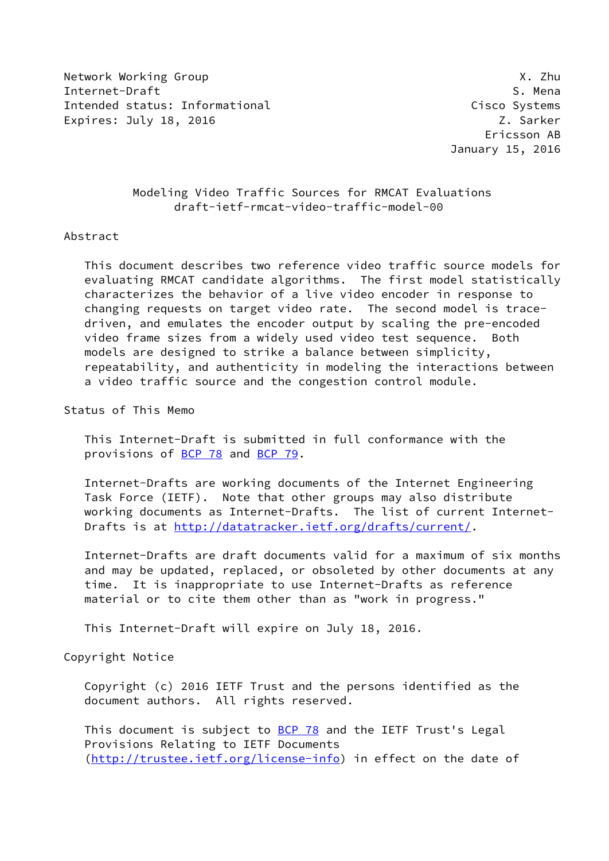Network Working Group **X.2hu** Internet-Draft S. Mena Intended status: Informational Cisco Systems Expires: July 18, 2016 **Z. Sarker** 

# Modeling Video Traffic Sources for RMCAT Evaluations draft-ietf-rmcat-video-traffic-model-00

## Abstract

 This document describes two reference video traffic source models for evaluating RMCAT candidate algorithms. The first model statistically characterizes the behavior of a live video encoder in response to changing requests on target video rate. The second model is trace driven, and emulates the encoder output by scaling the pre-encoded video frame sizes from a widely used video test sequence. Both models are designed to strike a balance between simplicity, repeatability, and authenticity in modeling the interactions between a video traffic source and the congestion control module.

Status of This Memo

 This Internet-Draft is submitted in full conformance with the provisions of [BCP 78](https://datatracker.ietf.org/doc/pdf/bcp78) and [BCP 79](https://datatracker.ietf.org/doc/pdf/bcp79).

 Internet-Drafts are working documents of the Internet Engineering Task Force (IETF). Note that other groups may also distribute working documents as Internet-Drafts. The list of current Internet- Drafts is at<http://datatracker.ietf.org/drafts/current/>.

 Internet-Drafts are draft documents valid for a maximum of six months and may be updated, replaced, or obsoleted by other documents at any time. It is inappropriate to use Internet-Drafts as reference material or to cite them other than as "work in progress."

This Internet-Draft will expire on July 18, 2016.

Copyright Notice

 Copyright (c) 2016 IETF Trust and the persons identified as the document authors. All rights reserved.

This document is subject to **[BCP 78](https://datatracker.ietf.org/doc/pdf/bcp78)** and the IETF Trust's Legal Provisions Relating to IETF Documents [\(http://trustee.ietf.org/license-info](http://trustee.ietf.org/license-info)) in effect on the date of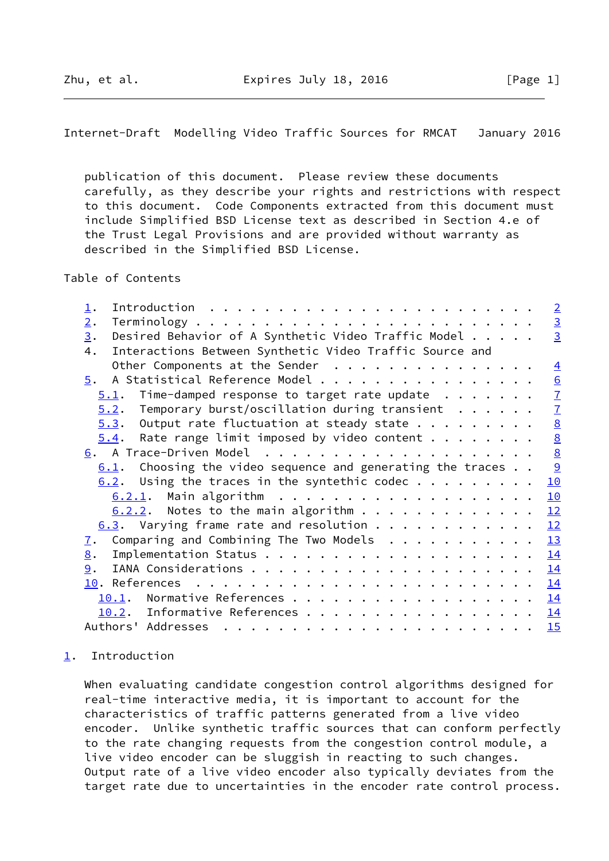<span id="page-1-1"></span>Internet-Draft Modelling Video Traffic Sources for RMCAT January 2016

 publication of this document. Please review these documents carefully, as they describe your rights and restrictions with respect to this document. Code Components extracted from this document must include Simplified BSD License text as described in Section 4.e of the Trust Legal Provisions and are provided without warranty as described in the Simplified BSD License.

Table of Contents

| $\perp$ .                                                                                                                                                                                                                                                                                                                                                                                                                                                                                                     |  |  | $\overline{2}$  |
|---------------------------------------------------------------------------------------------------------------------------------------------------------------------------------------------------------------------------------------------------------------------------------------------------------------------------------------------------------------------------------------------------------------------------------------------------------------------------------------------------------------|--|--|-----------------|
| 2.                                                                                                                                                                                                                                                                                                                                                                                                                                                                                                            |  |  | $\overline{3}$  |
| Desired Behavior of A Synthetic Video Traffic Model<br>3.                                                                                                                                                                                                                                                                                                                                                                                                                                                     |  |  | $\overline{3}$  |
| Interactions Between Synthetic Video Traffic Source and<br>4.                                                                                                                                                                                                                                                                                                                                                                                                                                                 |  |  |                 |
| Other Components at the Sender                                                                                                                                                                                                                                                                                                                                                                                                                                                                                |  |  | $\overline{4}$  |
| A Statistical Reference Model<br>5.                                                                                                                                                                                                                                                                                                                                                                                                                                                                           |  |  | 6               |
| Time-damped response to target rate update $\ldots$<br>5.1.                                                                                                                                                                                                                                                                                                                                                                                                                                                   |  |  | $\overline{1}$  |
| Temporary burst/oscillation during transient $\ldots \ldots$<br>5.2.                                                                                                                                                                                                                                                                                                                                                                                                                                          |  |  | $\overline{1}$  |
| Output rate fluctuation at steady state<br>5.3.                                                                                                                                                                                                                                                                                                                                                                                                                                                               |  |  | $\underline{8}$ |
| Rate range limit imposed by video content $\cdots$<br>5.4.                                                                                                                                                                                                                                                                                                                                                                                                                                                    |  |  |                 |
|                                                                                                                                                                                                                                                                                                                                                                                                                                                                                                               |  |  | $\frac{8}{8}$   |
| Choosing the video sequence and generating the traces<br>6.1.                                                                                                                                                                                                                                                                                                                                                                                                                                                 |  |  | $\overline{9}$  |
| Using the traces in the syntethic codec $\dots$<br>6.2.                                                                                                                                                                                                                                                                                                                                                                                                                                                       |  |  | 10              |
|                                                                                                                                                                                                                                                                                                                                                                                                                                                                                                               |  |  | 10              |
| $6.2.2$ . Notes to the main algorithm                                                                                                                                                                                                                                                                                                                                                                                                                                                                         |  |  | 12              |
| $6.3$ . Varying frame rate and resolution                                                                                                                                                                                                                                                                                                                                                                                                                                                                     |  |  | 12              |
| Comparing and Combining The Two Models<br>$\mathbf{I}$ .                                                                                                                                                                                                                                                                                                                                                                                                                                                      |  |  | 13              |
| 8.                                                                                                                                                                                                                                                                                                                                                                                                                                                                                                            |  |  | 14              |
| 9.                                                                                                                                                                                                                                                                                                                                                                                                                                                                                                            |  |  | 14              |
|                                                                                                                                                                                                                                                                                                                                                                                                                                                                                                               |  |  | 14              |
| Normative References<br>10.1.                                                                                                                                                                                                                                                                                                                                                                                                                                                                                 |  |  | 14              |
| 10.2. Informative References                                                                                                                                                                                                                                                                                                                                                                                                                                                                                  |  |  | 14              |
| Authors' Addresses<br>$\mathbf{r}^{\mathsf{T}} \cdot \mathbf{r}^{\mathsf{T}} \cdot \mathbf{r}^{\mathsf{T}} \cdot \mathbf{r}^{\mathsf{T}} \cdot \mathbf{r}^{\mathsf{T}} \cdot \mathbf{r}^{\mathsf{T}} \cdot \mathbf{r}^{\mathsf{T}} \cdot \mathbf{r}^{\mathsf{T}} \cdot \mathbf{r}^{\mathsf{T}} \cdot \mathbf{r}^{\mathsf{T}} \cdot \mathbf{r}^{\mathsf{T}} \cdot \mathbf{r}^{\mathsf{T}} \cdot \mathbf{r}^{\mathsf{T}} \cdot \mathbf{r}^{\mathsf{T}} \cdot \mathbf{r}^{\mathsf{T}} \cdot \mathbf{r}^{\mathsf$ |  |  | 15              |

# <span id="page-1-0"></span>[1](#page-1-0). Introduction

 When evaluating candidate congestion control algorithms designed for real-time interactive media, it is important to account for the characteristics of traffic patterns generated from a live video encoder. Unlike synthetic traffic sources that can conform perfectly to the rate changing requests from the congestion control module, a live video encoder can be sluggish in reacting to such changes. Output rate of a live video encoder also typically deviates from the target rate due to uncertainties in the encoder rate control process.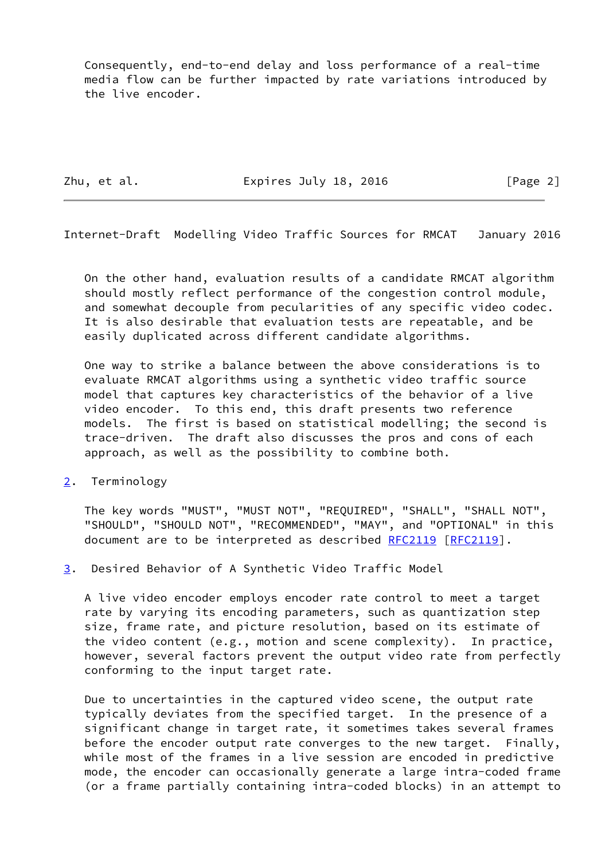Consequently, end-to-end delay and loss performance of a real-time media flow can be further impacted by rate variations introduced by the live encoder.

Zhu, et al. **Expires July 18, 2016** [Page 2]

<span id="page-2-1"></span>Internet-Draft Modelling Video Traffic Sources for RMCAT January 2016

 On the other hand, evaluation results of a candidate RMCAT algorithm should mostly reflect performance of the congestion control module, and somewhat decouple from pecularities of any specific video codec. It is also desirable that evaluation tests are repeatable, and be easily duplicated across different candidate algorithms.

 One way to strike a balance between the above considerations is to evaluate RMCAT algorithms using a synthetic video traffic source model that captures key characteristics of the behavior of a live video encoder. To this end, this draft presents two reference models. The first is based on statistical modelling; the second is trace-driven. The draft also discusses the pros and cons of each approach, as well as the possibility to combine both.

<span id="page-2-0"></span>[2](#page-2-0). Terminology

 The key words "MUST", "MUST NOT", "REQUIRED", "SHALL", "SHALL NOT", "SHOULD", "SHOULD NOT", "RECOMMENDED", "MAY", and "OPTIONAL" in this document are to be interpreted as described [RFC2119 \[RFC2119](https://datatracker.ietf.org/doc/pdf/rfc2119)].

<span id="page-2-2"></span>[3](#page-2-2). Desired Behavior of A Synthetic Video Traffic Model

 A live video encoder employs encoder rate control to meet a target rate by varying its encoding parameters, such as quantization step size, frame rate, and picture resolution, based on its estimate of the video content (e.g., motion and scene complexity). In practice, however, several factors prevent the output video rate from perfectly conforming to the input target rate.

 Due to uncertainties in the captured video scene, the output rate typically deviates from the specified target. In the presence of a significant change in target rate, it sometimes takes several frames before the encoder output rate converges to the new target. Finally, while most of the frames in a live session are encoded in predictive mode, the encoder can occasionally generate a large intra-coded frame (or a frame partially containing intra-coded blocks) in an attempt to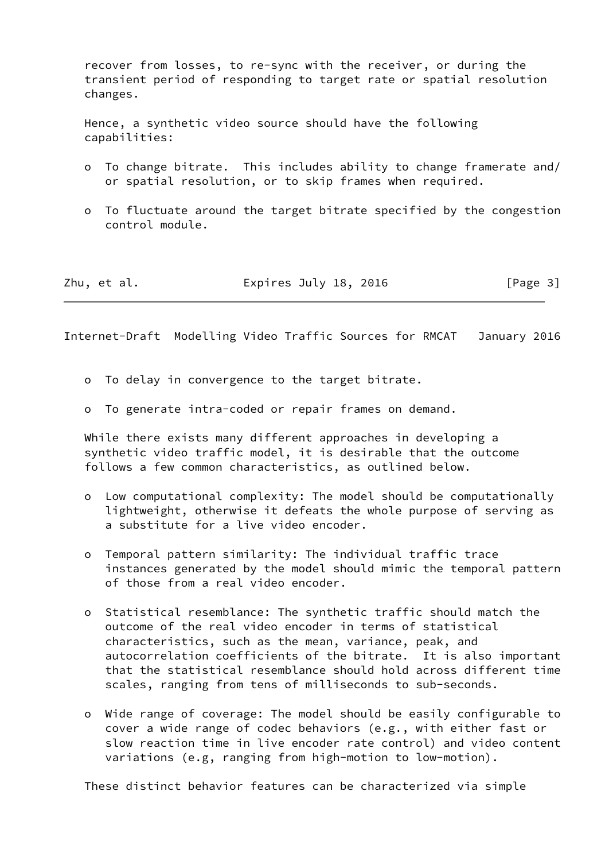recover from losses, to re-sync with the receiver, or during the transient period of responding to target rate or spatial resolution changes.

 Hence, a synthetic video source should have the following capabilities:

- o To change bitrate. This includes ability to change framerate and/ or spatial resolution, or to skip frames when required.
- o To fluctuate around the target bitrate specified by the congestion control module.

| Zhu, et al. | Expires July 18, 2016 | [Page 3] |
|-------------|-----------------------|----------|
|-------------|-----------------------|----------|

<span id="page-3-0"></span>Internet-Draft Modelling Video Traffic Sources for RMCAT January 2016

- o To delay in convergence to the target bitrate.
- o To generate intra-coded or repair frames on demand.

 While there exists many different approaches in developing a synthetic video traffic model, it is desirable that the outcome follows a few common characteristics, as outlined below.

- o Low computational complexity: The model should be computationally lightweight, otherwise it defeats the whole purpose of serving as a substitute for a live video encoder.
- o Temporal pattern similarity: The individual traffic trace instances generated by the model should mimic the temporal pattern of those from a real video encoder.
- o Statistical resemblance: The synthetic traffic should match the outcome of the real video encoder in terms of statistical characteristics, such as the mean, variance, peak, and autocorrelation coefficients of the bitrate. It is also important that the statistical resemblance should hold across different time scales, ranging from tens of milliseconds to sub-seconds.
- o Wide range of coverage: The model should be easily configurable to cover a wide range of codec behaviors (e.g., with either fast or slow reaction time in live encoder rate control) and video content variations (e.g, ranging from high-motion to low-motion).

These distinct behavior features can be characterized via simple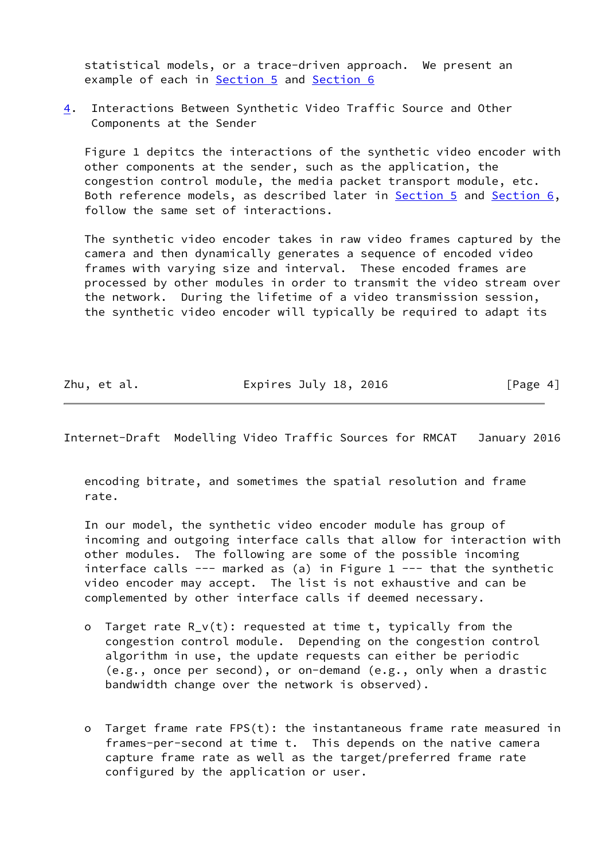statistical models, or a trace-driven approach. We present an example of each in **Section 5** and [Section 6](#page-8-2)

<span id="page-4-0"></span>[4](#page-4-0). Interactions Between Synthetic Video Traffic Source and Other Components at the Sender

 Figure 1 depitcs the interactions of the synthetic video encoder with other components at the sender, such as the application, the congestion control module, the media packet transport module, etc. Both reference models, as described later in [Section 5](#page-6-0) and [Section 6,](#page-8-2) follow the same set of interactions.

 The synthetic video encoder takes in raw video frames captured by the camera and then dynamically generates a sequence of encoded video frames with varying size and interval. These encoded frames are processed by other modules in order to transmit the video stream over the network. During the lifetime of a video transmission session, the synthetic video encoder will typically be required to adapt its

Zhu, et al. **Expires July 18, 2016** [Page 4]

Internet-Draft Modelling Video Traffic Sources for RMCAT January 2016

 encoding bitrate, and sometimes the spatial resolution and frame rate.

 In our model, the synthetic video encoder module has group of incoming and outgoing interface calls that allow for interaction with other modules. The following are some of the possible incoming interface calls --- marked as (a) in Figure  $1$  --- that the synthetic video encoder may accept. The list is not exhaustive and can be complemented by other interface calls if deemed necessary.

- o Target rate R\_v(t): requested at time t, typically from the congestion control module. Depending on the congestion control algorithm in use, the update requests can either be periodic (e.g., once per second), or on-demand (e.g., only when a drastic bandwidth change over the network is observed).
- o Target frame rate FPS(t): the instantaneous frame rate measured in frames-per-second at time t. This depends on the native camera capture frame rate as well as the target/preferred frame rate configured by the application or user.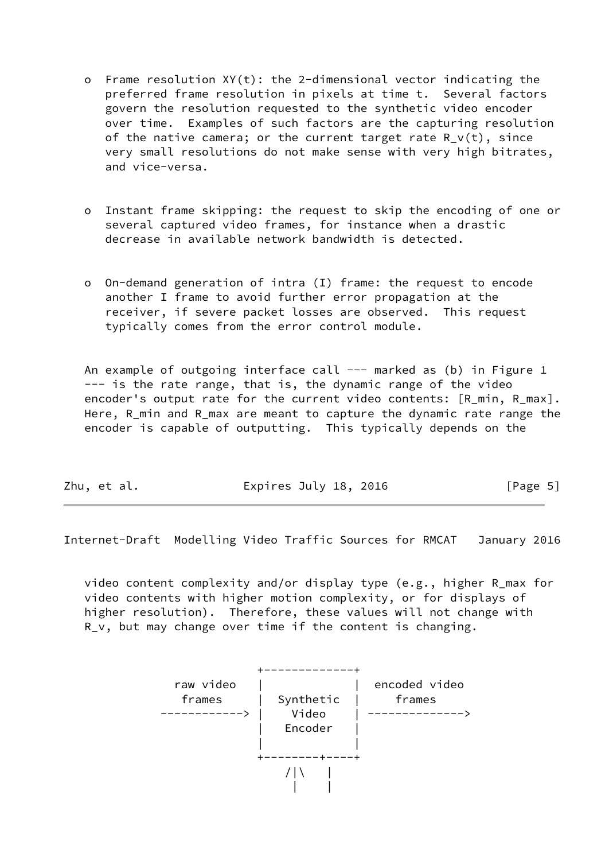- o Frame resolution XY(t): the 2-dimensional vector indicating the preferred frame resolution in pixels at time t. Several factors govern the resolution requested to the synthetic video encoder over time. Examples of such factors are the capturing resolution of the native camera; or the current target rate  $R_v(t)$ , since very small resolutions do not make sense with very high bitrates, and vice-versa.
- o Instant frame skipping: the request to skip the encoding of one or several captured video frames, for instance when a drastic decrease in available network bandwidth is detected.
- o On-demand generation of intra (I) frame: the request to encode another I frame to avoid further error propagation at the receiver, if severe packet losses are observed. This request typically comes from the error control module.

An example of outgoing interface call --- marked as (b) in Figure 1 --- is the rate range, that is, the dynamic range of the video encoder's output rate for the current video contents: [R\_min, R\_max]. Here, R\_min and R\_max are meant to capture the dynamic rate range the encoder is capable of outputting. This typically depends on the

<span id="page-5-0"></span>Internet-Draft Modelling Video Traffic Sources for RMCAT January 2016

 video content complexity and/or display type (e.g., higher R\_max for video contents with higher motion complexity, or for displays of higher resolution). Therefore, these values will not change with R\_v, but may change over time if the content is changing.

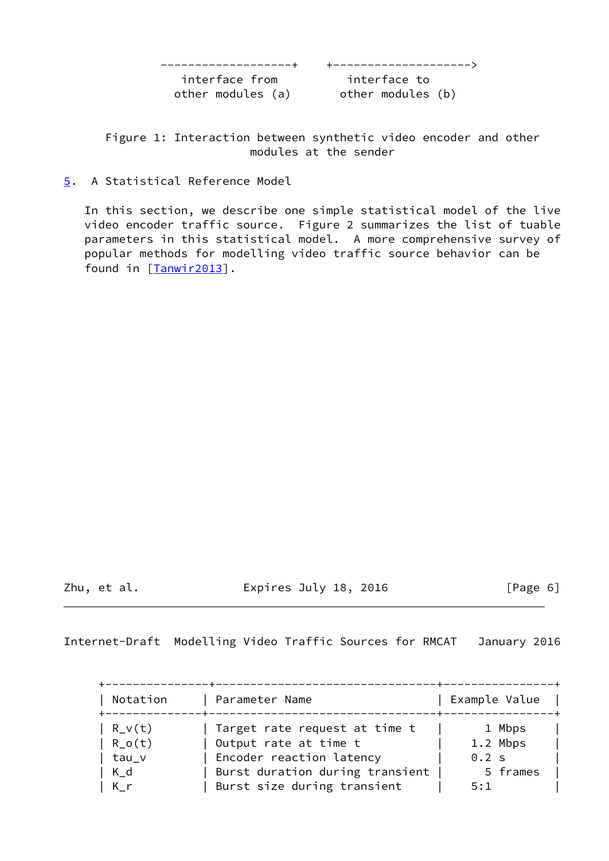-------------------+ +-------------------->

interface from interface to

other modules (a) other modules (b)

 Figure 1: Interaction between synthetic video encoder and other modules at the sender

<span id="page-6-0"></span>[5](#page-6-0). A Statistical Reference Model

 In this section, we describe one simple statistical model of the live video encoder traffic source. Figure 2 summarizes the list of tuable parameters in this statistical model. A more comprehensive survey of popular methods for modelling video traffic source behavior can be found in [\[Tanwir2013\]](#page-15-5).

Zhu, et al. Expires July 18, 2016 [Page 6]

<span id="page-6-1"></span>Internet-Draft Modelling Video Traffic Sources for RMCAT January 2016

| Notation | Parameter Name                  | Example Value |
|----------|---------------------------------|---------------|
| $R_V(t)$ | Target rate request at time t   | 1 Mbps        |
| $R_0(t)$ | Output rate at time t           | 1.2 Mbps      |
| tau_v    | Encoder reaction latency        | 0.2 s         |
| $K_d$    | Burst duration during transient | 5 frames      |
| K_r      | Burst size during transient     | 5:1           |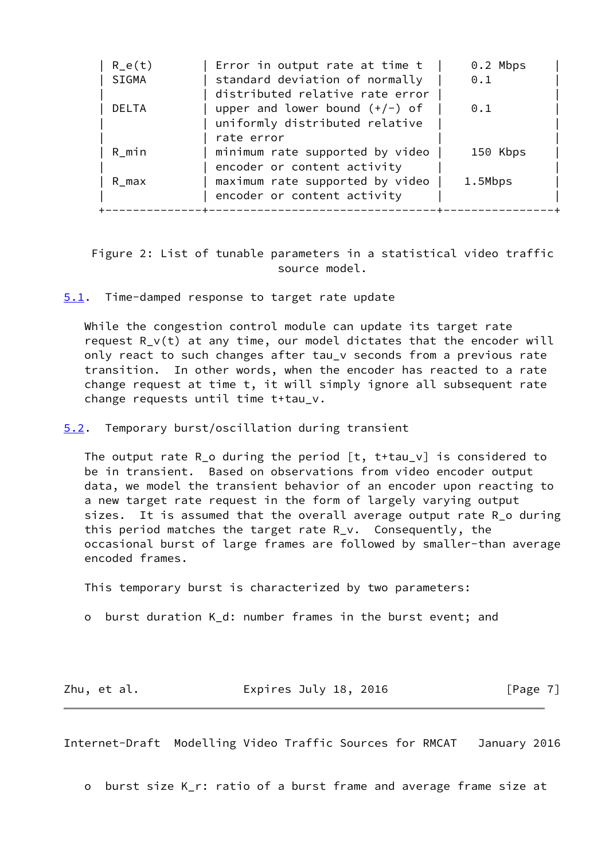| $R_e(t)$<br>SIGMA | Error in output rate at time t<br>standard deviation of normally<br>distributed relative rate error | $0.2$ Mbps<br>0.1 |
|-------------------|-----------------------------------------------------------------------------------------------------|-------------------|
| <b>DELTA</b>      | upper and lower bound $(+/-)$ of<br>uniformly distributed relative                                  | 0.1               |
| R min             | rate error<br>minimum rate supported by video                                                       | 150 Kbps          |
| R max             | encoder or content activity<br>maximum rate supported by video<br>encoder or content activity       | 1.5Mbps           |

 Figure 2: List of tunable parameters in a statistical video traffic source model.

<span id="page-7-0"></span>[5.1](#page-7-0). Time-damped response to target rate update

 While the congestion control module can update its target rate request R\_v(t) at any time, our model dictates that the encoder will only react to such changes after tau\_v seconds from a previous rate transition. In other words, when the encoder has reacted to a rate change request at time t, it will simply ignore all subsequent rate change requests until time t+tau\_v.

<span id="page-7-1"></span>[5.2](#page-7-1). Temporary burst/oscillation during transient

 The output rate R\_o during the period [t, t+tau\_v] is considered to be in transient. Based on observations from video encoder output data, we model the transient behavior of an encoder upon reacting to a new target rate request in the form of largely varying output sizes. It is assumed that the overall average output rate R\_o during this period matches the target rate R\_v. Consequently, the occasional burst of large frames are followed by smaller-than average encoded frames.

This temporary burst is characterized by two parameters:

o burst duration K\_d: number frames in the burst event; and

Zhu, et al. **Expires July 18, 2016** [Page 7]

<span id="page-7-2"></span>Internet-Draft Modelling Video Traffic Sources for RMCAT January 2016

o burst size K\_r: ratio of a burst frame and average frame size at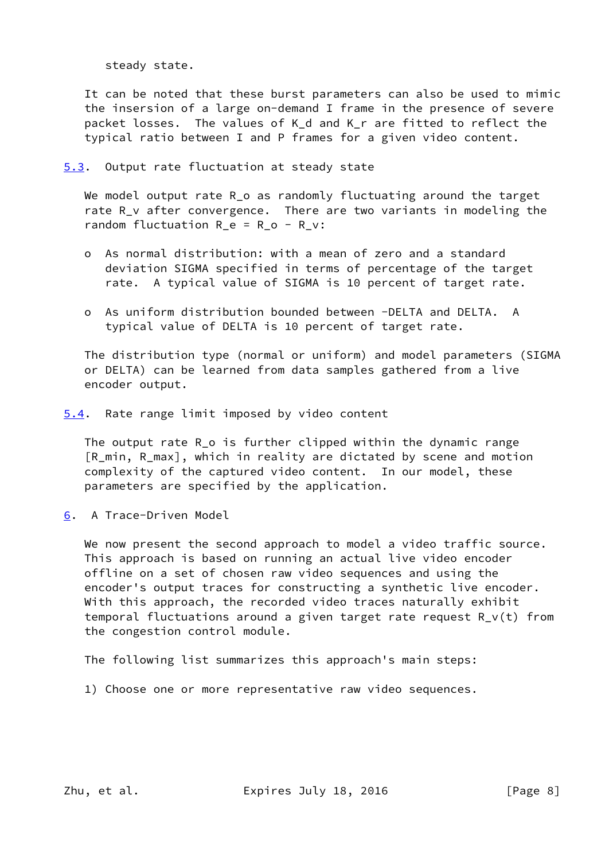steady state.

 It can be noted that these burst parameters can also be used to mimic the insersion of a large on-demand I frame in the presence of severe packet losses. The values of K\_d and K\_r are fitted to reflect the typical ratio between I and P frames for a given video content.

<span id="page-8-0"></span>[5.3](#page-8-0). Output rate fluctuation at steady state

We model output rate R\_o as randomly fluctuating around the target rate R\_v after convergence. There are two variants in modeling the random fluctuation  $R_e = R_o - R_v$ :

- o As normal distribution: with a mean of zero and a standard deviation SIGMA specified in terms of percentage of the target rate. A typical value of SIGMA is 10 percent of target rate.
- o As uniform distribution bounded between -DELTA and DELTA. A typical value of DELTA is 10 percent of target rate.

 The distribution type (normal or uniform) and model parameters (SIGMA or DELTA) can be learned from data samples gathered from a live encoder output.

<span id="page-8-1"></span>[5.4](#page-8-1). Rate range limit imposed by video content

 The output rate R\_o is further clipped within the dynamic range [R\_min, R\_max], which in reality are dictated by scene and motion complexity of the captured video content. In our model, these parameters are specified by the application.

<span id="page-8-2"></span>[6](#page-8-2). A Trace-Driven Model

We now present the second approach to model a video traffic source. This approach is based on running an actual live video encoder offline on a set of chosen raw video sequences and using the encoder's output traces for constructing a synthetic live encoder. With this approach, the recorded video traces naturally exhibit temporal fluctuations around a given target rate request R\_v(t) from the congestion control module.

The following list summarizes this approach's main steps:

1) Choose one or more representative raw video sequences.

Zhu, et al. **Expires July 18, 2016** [Page 8]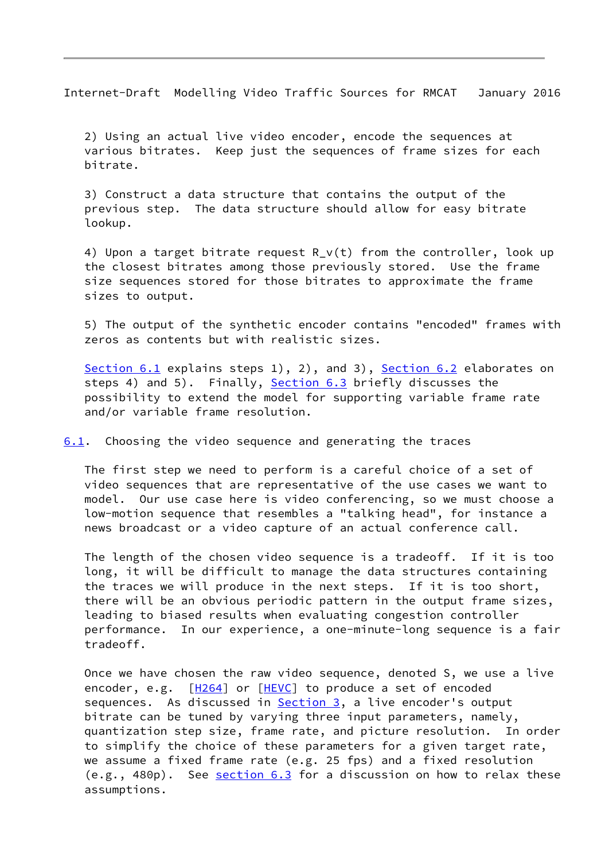<span id="page-9-1"></span>Internet-Draft Modelling Video Traffic Sources for RMCAT January 2016

 2) Using an actual live video encoder, encode the sequences at various bitrates. Keep just the sequences of frame sizes for each bitrate.

 3) Construct a data structure that contains the output of the previous step. The data structure should allow for easy bitrate lookup.

4) Upon a target bitrate request  $R_V(t)$  from the controller, look up the closest bitrates among those previously stored. Use the frame size sequences stored for those bitrates to approximate the frame sizes to output.

 5) The output of the synthetic encoder contains "encoded" frames with zeros as contents but with realistic sizes.

[Section 6.1](#page-9-0) explains steps 1), 2), and 3), [Section 6.2](#page-10-0) elaborates on steps 4) and 5). Finally, [Section 6.3](#page-13-0) briefly discusses the possibility to extend the model for supporting variable frame rate and/or variable frame resolution.

<span id="page-9-0"></span>[6.1](#page-9-0). Choosing the video sequence and generating the traces

 The first step we need to perform is a careful choice of a set of video sequences that are representative of the use cases we want to model. Our use case here is video conferencing, so we must choose a low-motion sequence that resembles a "talking head", for instance a news broadcast or a video capture of an actual conference call.

 The length of the chosen video sequence is a tradeoff. If it is too long, it will be difficult to manage the data structures containing the traces we will produce in the next steps. If it is too short, there will be an obvious periodic pattern in the output frame sizes, leading to biased results when evaluating congestion controller performance. In our experience, a one-minute-long sequence is a fair tradeoff.

 Once we have chosen the raw video sequence, denoted S, we use a live encoder, e.g. [\[H264](#page-15-6)] or [\[HEVC](#page-15-7)] to produce a set of encoded sequences. As discussed in [Section 3,](#page-2-2) a live encoder's output bitrate can be tuned by varying three input parameters, namely, quantization step size, frame rate, and picture resolution. In order to simplify the choice of these parameters for a given target rate, we assume a fixed frame rate (e.g. 25 fps) and a fixed resolution  $(e.g., 480p)$ . See <u>[section 6.3](#page-13-0)</u> for a discussion on how to relax these assumptions.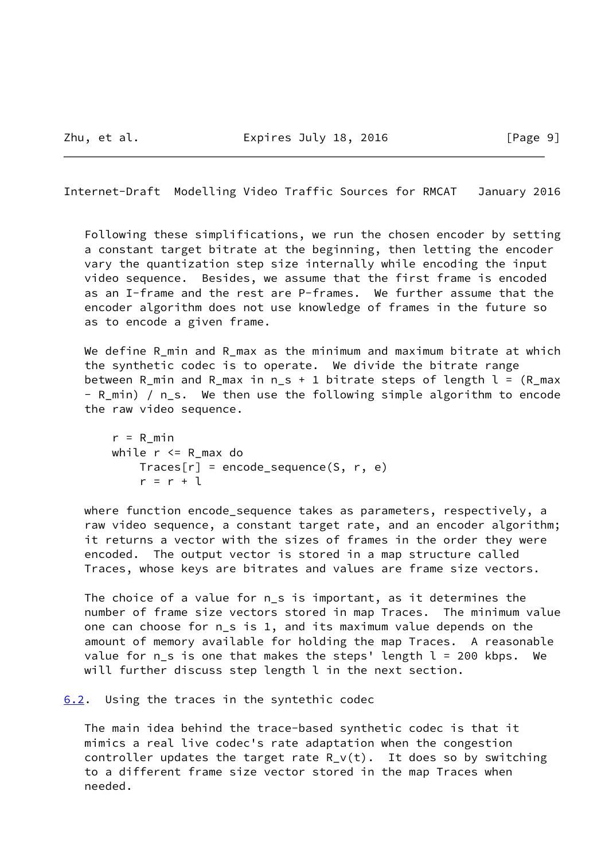<span id="page-10-1"></span>Internet-Draft Modelling Video Traffic Sources for RMCAT January 2016

 Following these simplifications, we run the chosen encoder by setting a constant target bitrate at the beginning, then letting the encoder vary the quantization step size internally while encoding the input video sequence. Besides, we assume that the first frame is encoded as an I-frame and the rest are P-frames. We further assume that the encoder algorithm does not use knowledge of frames in the future so as to encode a given frame.

We define R\_min and R\_max as the minimum and maximum bitrate at which the synthetic codec is to operate. We divide the bitrate range between R\_min and R\_max in  $n_s + 1$  bitrate steps of length  $l = (R_m + 1)$ - R min) / n\_s. We then use the following simple algorithm to encode the raw video sequence.

```
r = R min
 while r <= R_max do
   Trace[r] = encode\_sequence(S, r, e)r = r + 1
```
 where function encode\_sequence takes as parameters, respectively, a raw video sequence, a constant target rate, and an encoder algorithm; it returns a vector with the sizes of frames in the order they were encoded. The output vector is stored in a map structure called Traces, whose keys are bitrates and values are frame size vectors.

 The choice of a value for n\_s is important, as it determines the number of frame size vectors stored in map Traces. The minimum value one can choose for n\_s is 1, and its maximum value depends on the amount of memory available for holding the map Traces. A reasonable value for  $n_s$  is one that makes the steps' length  $l = 200$  kbps. We will further discuss step length l in the next section.

<span id="page-10-0"></span>[6.2](#page-10-0). Using the traces in the syntethic codec

 The main idea behind the trace-based synthetic codec is that it mimics a real live codec's rate adaptation when the congestion controller updates the target rate  $R_v(t)$ . It does so by switching to a different frame size vector stored in the map Traces when needed.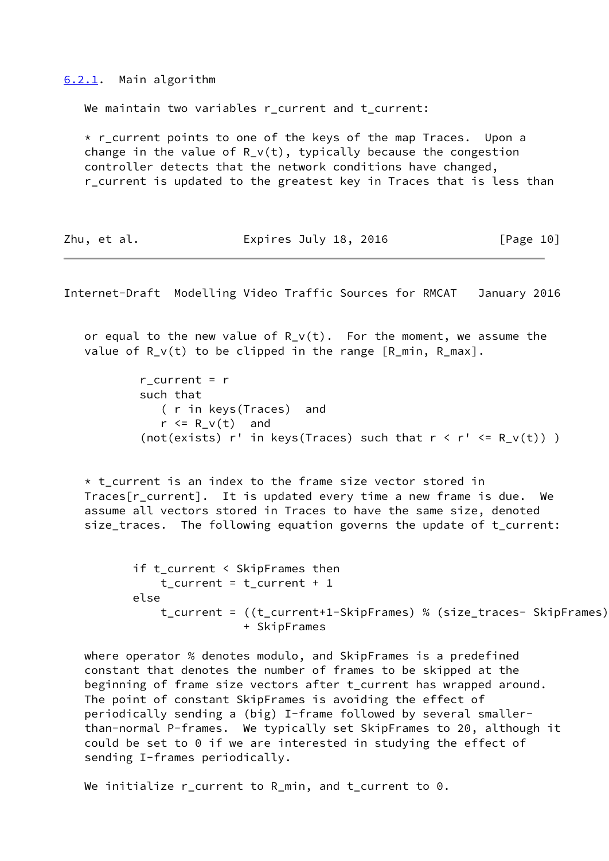<span id="page-11-0"></span>[6.2.1](#page-11-0). Main algorithm

We maintain two variables r current and t current:

\* r current points to one of the keys of the map Traces. Upon a change in the value of R  $v(t)$ , typically because the congestion controller detects that the network conditions have changed, r\_current is updated to the greatest key in Traces that is less than

| Expires July 18, 2016<br>[Page 10]<br>Zhu, et al. |  |  |  |  |  |  |
|---------------------------------------------------|--|--|--|--|--|--|
|---------------------------------------------------|--|--|--|--|--|--|

Internet-Draft Modelling Video Traffic Sources for RMCAT January 2016

or equal to the new value of  $R_V(t)$ . For the moment, we assume the value of  $R_V(t)$  to be clipped in the range  $[R_m$ in,  $R_m$ max].

```
r_{current} = r such that
    ( r in keys(Traces) and
   r \le R_v(t) and
(not(exists) r' in keys(Traces) such that r < r' < R_V(t)) )
```
 $*$  t current is an index to the frame size vector stored in Traces  $\lceil r \rceil$  current]. It is updated every time a new frame is due. We assume all vectors stored in Traces to have the same size, denoted size traces. The following equation governs the update of t current:

```
 if t_current < SkipFrames then
    t current = t_current + 1
 else
     t_current = ((t_current+1-SkipFrames) % (size_traces- SkipFrames))
                 + SkipFrames
```
 where operator % denotes modulo, and SkipFrames is a predefined constant that denotes the number of frames to be skipped at the beginning of frame size vectors after t\_current has wrapped around. The point of constant SkipFrames is avoiding the effect of periodically sending a (big) I-frame followed by several smaller than-normal P-frames. We typically set SkipFrames to 20, although it could be set to 0 if we are interested in studying the effect of sending I-frames periodically.

We initialize r\_current to R\_min, and t\_current to 0.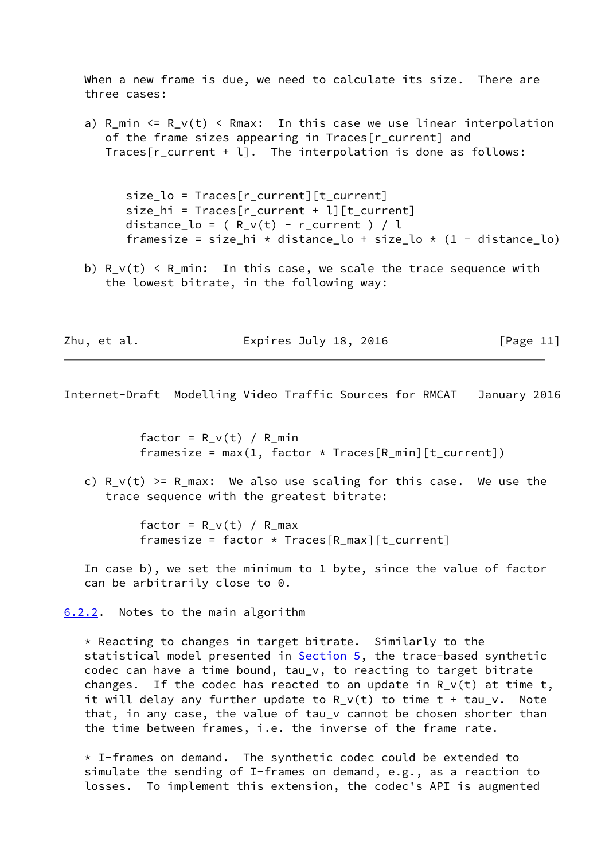When a new frame is due, we need to calculate its size. There are three cases:

a) R\_min  $\le$  R\_v(t)  $\le$  Rmax: In this case we use linear interpolation of the frame sizes appearing in Traces[r\_current] and Traces  $[r \text{ current } + 1]$ . The interpolation is done as follows:

 size\_lo = Traces[r\_current][t\_current] size\_hi = Traces[r\_current + l][t\_current] distance\_lo =  $(R_v(t) - r_c($ urrent  $)/l$ framesize = size hi \* distance lo + size lo \* (1 - distance lo)

b)  $R_v(t)$  <  $R_{min}$ : In this case, we scale the trace sequence with the lowest bitrate, in the following way:

Zhu, et al. **Expires July 18, 2016** [Page 11]

<span id="page-12-1"></span>Internet-Draft Modelling Video Traffic Sources for RMCAT January 2016

factor = R  $v(t)$  / R min framesize = max $(1,$  factor \* Traces $[R_m$ in] $[t_current])$ 

c)  $R_v(t) \ge R_{max}$ : We also use scaling for this case. We use the trace sequence with the greatest bitrate:

> factor = R  $v(t)$  / R max framesize = factor  $*$  Traces[R\_max][t\_current]

 In case b), we set the minimum to 1 byte, since the value of factor can be arbitrarily close to 0.

<span id="page-12-0"></span>[6.2.2](#page-12-0). Notes to the main algorithm

 \* Reacting to changes in target bitrate. Similarly to the statistical model presented in [Section 5,](#page-6-0) the trace-based synthetic codec can have a time bound, tau\_v, to reacting to target bitrate changes. If the codec has reacted to an update in  $R_V(t)$  at time t, it will delay any further update to  $R_V(t)$  to time  $t + tau_v$ . Note that, in any case, the value of tau y cannot be chosen shorter than the time between frames, i.e. the inverse of the frame rate.

 \* I-frames on demand. The synthetic codec could be extended to simulate the sending of I-frames on demand, e.g., as a reaction to losses. To implement this extension, the codec's API is augmented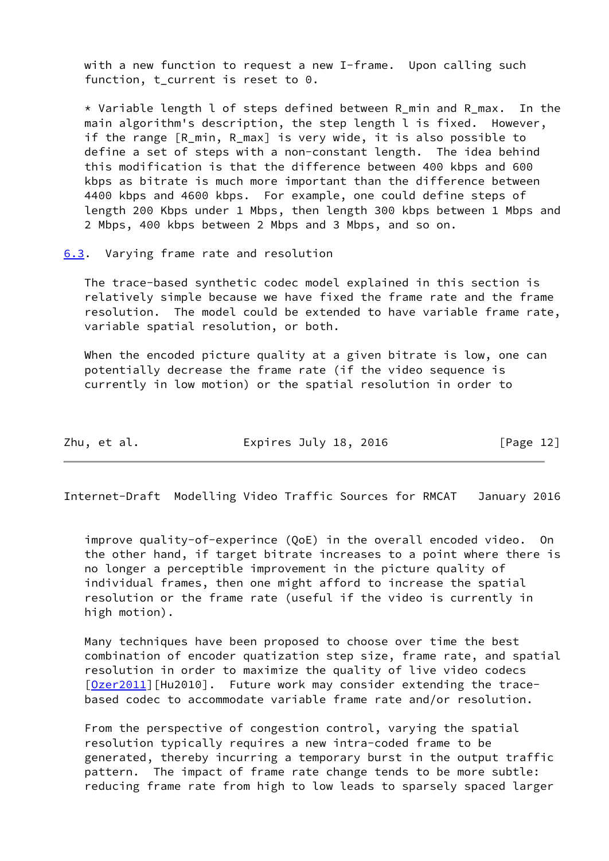with a new function to request a new I-frame. Upon calling such function, t\_current is reset to 0.

 \* Variable length l of steps defined between R\_min and R\_max. In the main algorithm's description, the step length l is fixed. However, if the range [R\_min, R\_max] is very wide, it is also possible to define a set of steps with a non-constant length. The idea behind this modification is that the difference between 400 kbps and 600 kbps as bitrate is much more important than the difference between 4400 kbps and 4600 kbps. For example, one could define steps of length 200 Kbps under 1 Mbps, then length 300 kbps between 1 Mbps and 2 Mbps, 400 kbps between 2 Mbps and 3 Mbps, and so on.

<span id="page-13-0"></span>[6.3](#page-13-0). Varying frame rate and resolution

 The trace-based synthetic codec model explained in this section is relatively simple because we have fixed the frame rate and the frame resolution. The model could be extended to have variable frame rate, variable spatial resolution, or both.

When the encoded picture quality at a given bitrate is low, one can potentially decrease the frame rate (if the video sequence is currently in low motion) or the spatial resolution in order to

Zhu, et al. **Expires July 18, 2016** [Page 12]

<span id="page-13-1"></span>Internet-Draft Modelling Video Traffic Sources for RMCAT January 2016

 improve quality-of-experince (QoE) in the overall encoded video. On the other hand, if target bitrate increases to a point where there is no longer a perceptible improvement in the picture quality of individual frames, then one might afford to increase the spatial resolution or the frame rate (useful if the video is currently in high motion).

 Many techniques have been proposed to choose over time the best combination of encoder quatization step size, frame rate, and spatial resolution in order to maximize the quality of live video codecs [\[Ozer2011](#page-15-8)][Hu2010]. Future work may consider extending the trace based codec to accommodate variable frame rate and/or resolution.

 From the perspective of congestion control, varying the spatial resolution typically requires a new intra-coded frame to be generated, thereby incurring a temporary burst in the output traffic pattern. The impact of frame rate change tends to be more subtle: reducing frame rate from high to low leads to sparsely spaced larger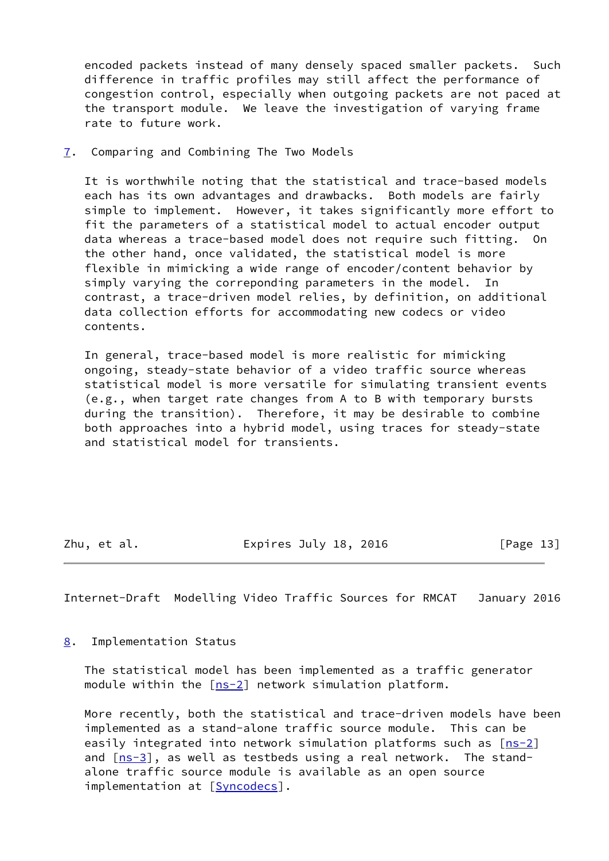encoded packets instead of many densely spaced smaller packets. Such difference in traffic profiles may still affect the performance of congestion control, especially when outgoing packets are not paced at the transport module. We leave the investigation of varying frame rate to future work.

<span id="page-14-0"></span>[7](#page-14-0). Comparing and Combining The Two Models

 It is worthwhile noting that the statistical and trace-based models each has its own advantages and drawbacks. Both models are fairly simple to implement. However, it takes significantly more effort to fit the parameters of a statistical model to actual encoder output data whereas a trace-based model does not require such fitting. On the other hand, once validated, the statistical model is more flexible in mimicking a wide range of encoder/content behavior by simply varying the correponding parameters in the model. In contrast, a trace-driven model relies, by definition, on additional data collection efforts for accommodating new codecs or video contents.

 In general, trace-based model is more realistic for mimicking ongoing, steady-state behavior of a video traffic source whereas statistical model is more versatile for simulating transient events (e.g., when target rate changes from A to B with temporary bursts during the transition). Therefore, it may be desirable to combine both approaches into a hybrid model, using traces for steady-state and statistical model for transients.

Zhu, et al. Expires July 18, 2016 [Page 13]

<span id="page-14-2"></span>Internet-Draft Modelling Video Traffic Sources for RMCAT January 2016

<span id="page-14-1"></span>[8](#page-14-1). Implementation Status

 The statistical model has been implemented as a traffic generator module within the  $[ns-2]$  $[ns-2]$  network simulation platform.

 More recently, both the statistical and trace-driven models have been implemented as a stand-alone traffic source module. This can be easily integrated into network simulation platforms such as  $[ns-2]$  $[ns-2]$ and  $[ns-3]$  $[ns-3]$ , as well as testbeds using a real network. The stand alone traffic source module is available as an open source implementation at [[Syncodecs\]](#page-16-0).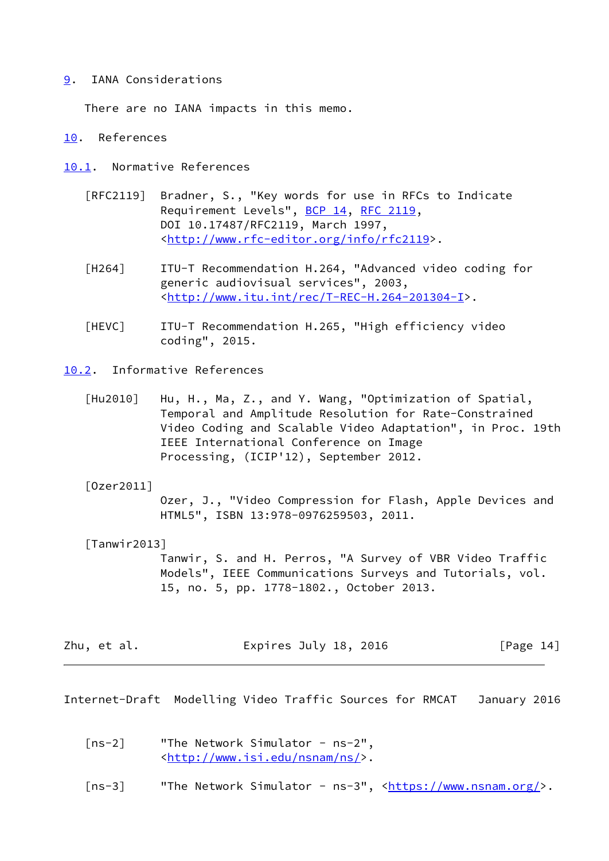## <span id="page-15-0"></span>[9](#page-15-0). IANA Considerations

There are no IANA impacts in this memo.

#### <span id="page-15-1"></span>[10.](#page-15-1) References

- <span id="page-15-6"></span><span id="page-15-2"></span>[10.1](#page-15-2). Normative References
	- [RFC2119] Bradner, S., "Key words for use in RFCs to Indicate Requirement Levels", [BCP 14](https://datatracker.ietf.org/doc/pdf/bcp14), [RFC 2119](https://datatracker.ietf.org/doc/pdf/rfc2119), DOI 10.17487/RFC2119, March 1997, <<http://www.rfc-editor.org/info/rfc2119>>.
	- [H264] ITU-T Recommendation H.264, "Advanced video coding for generic audiovisual services", 2003, <[http://www.itu.int/rec/T-REC-H.264-201304-I>](http://www.itu.int/rec/T-REC-H.264-201304-I).
	- [HEVC] ITU-T Recommendation H.265, "High efficiency video coding", 2015.
- <span id="page-15-7"></span><span id="page-15-3"></span>[10.2](#page-15-3). Informative References
	- [Hu2010] Hu, H., Ma, Z., and Y. Wang, "Optimization of Spatial, Temporal and Amplitude Resolution for Rate-Constrained Video Coding and Scalable Video Adaptation", in Proc. 19th IEEE International Conference on Image Processing, (ICIP'12), September 2012.

#### <span id="page-15-8"></span>[Ozer2011]

 Ozer, J., "Video Compression for Flash, Apple Devices and HTML5", ISBN 13:978-0976259503, 2011.

#### <span id="page-15-5"></span>[Tanwir2013]

 Tanwir, S. and H. Perros, "A Survey of VBR Video Traffic Models", IEEE Communications Surveys and Tutorials, vol. 15, no. 5, pp. 1778-1802., October 2013.

| Zhu, et al. | Expires July 18, 2016 | [Page 14] |
|-------------|-----------------------|-----------|
|-------------|-----------------------|-----------|

<span id="page-15-4"></span>Internet-Draft Modelling Video Traffic Sources for RMCAT January 2016

- <span id="page-15-9"></span> [ns-2] "The Network Simulator - ns-2", <[http://www.isi.edu/nsnam/ns/>](http://www.isi.edu/nsnam/ns/).
- <span id="page-15-10"></span>[ns-3] "The Network Simulator - ns-3", <<https://www.nsnam.org/>>.